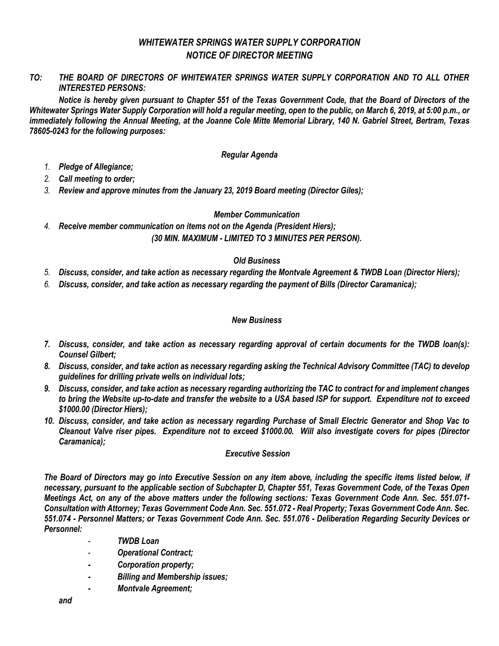# *WHITEWATER SPRINGS WATER SUPPLY CORPORATION NOTICE OF DIRECTOR MEETING*

*TO: THE BOARD OF DIRECTORS OF WHITEWATER SPRINGS WATER SUPPLY CORPORATION AND TO ALL OTHER INTERESTED PERSONS:*

*Notice is hereby given pursuant to Chapter 551 of the Texas Government Code, that the Board of Directors of the Whitewater Springs Water Supply Corporation will hold a regular meeting, open to the public, on March 6, 2019, at 5:00 p.m., or immediately following the Annual Meeting, at the Joanne Cole Mitte Memorial Library, 140 N. Gabriel Street, Bertram, Texas 78605-0243 for the following purposes:*

## *Regular Agenda*

- *1. Pledge of Allegiance;*
- *2. Call meeting to order;*
- *3. Review and approve minutes from the January 23, 2019 Board meeting (Director Giles);*

## *Member Communication*

*4. Receive member communication on items not on the Agenda (President Hiers); (30 MIN. MAXIMUM - LIMITED TO 3 MINUTES PER PERSON).*

## *Old Business*

- *5. Discuss, consider, and take action as necessary regarding the Montvale Agreement & TWDB Loan (Director Hiers);*
- *6. Discuss, consider, and take action as necessary regarding the payment of Bills (Director Caramanica);*

#### *New Business*

- *7. Discuss, consider, and take action as necessary regarding approval of certain documents for the TWDB loan(s): Counsel Gilbert;*
- *8. Discuss, consider, and take action as necessary regarding asking the Technical Advisory Committee (TAC) to develop guidelines for drilling private wells on individual lots;*
- *9. Discuss, consider, and take action as necessary regarding authorizing the TAC to contract for and implement changes to bring the Website up-to-date and transfer the website to a USA based ISP for support. Expenditure not to exceed \$1000.00 (Director Hiers);*
- *10. Discuss, consider, and take action as necessary regarding Purchase of Small Electric Generator and Shop Vac to Cleanout Valve riser pipes. Expenditure not to exceed \$1000.00. Will also investigate covers for pipes (Director Caramanica);*

#### *Executive Session*

*The Board of Directors may go into Executive Session on any item above, including the specific items listed below, if necessary, pursuant to the applicable section of Subchapter D, Chapter 551, Texas Government Code, of the Texas Open Meetings Act, on any of the above matters under the following sections: Texas Government Code Ann. Sec. 551.071- Consultation with Attorney; Texas Government Code Ann. Sec. 551.072 - Real Property; Texas Government Code Ann. Sec. 551.074 - Personnel Matters; or Texas Government Code Ann. Sec. 551.076 - Deliberation Regarding Security Devices or Personnel:*

- *TWDB Loan*
- *Operational Contract;*
- *- Corporation property;*
- *- Billing and Membership issues;*
- *- Montvale Agreement;*